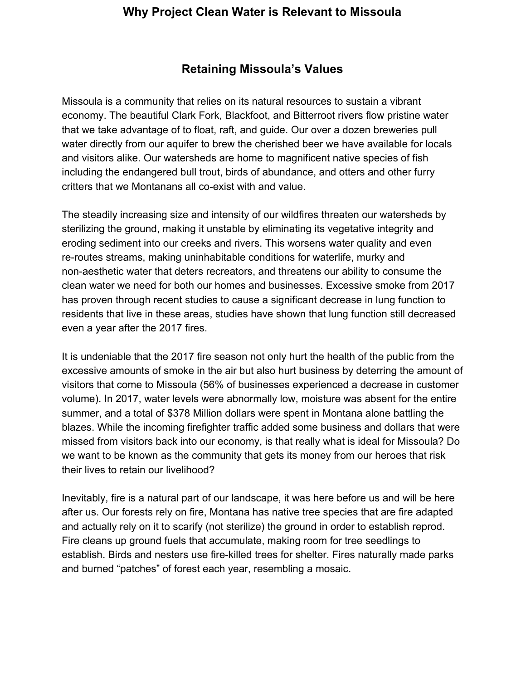## **Retaining Missoula's Values**

Missoula is a community that relies on its natural resources to sustain a vibrant economy. The beautiful Clark Fork, Blackfoot, and Bitterroot rivers flow pristine water that we take advantage of to float, raft, and guide. Our over a dozen breweries pull water directly from our aquifer to brew the cherished beer we have available for locals and visitors alike. Our watersheds are home to magnificent native species of fish including the endangered bull trout, birds of abundance, and otters and other furry critters that we Montanans all co-exist with and value.

The steadily increasing size and intensity of our wildfires threaten our watersheds by sterilizing the ground, making it unstable by eliminating its vegetative integrity and eroding sediment into our creeks and rivers. This worsens water quality and even re-routes streams, making uninhabitable conditions for waterlife, murky and non-aesthetic water that deters recreators, and threatens our ability to consume the clean water we need for both our homes and businesses. Excessive smoke from 2017 has proven through recent studies to cause a significant decrease in lung function to residents that live in these areas, studies have shown that lung function still decreased even a year after the 2017 fires.

It is undeniable that the 2017 fire season not only hurt the health of the public from the excessive amounts of smoke in the air but also hurt business by deterring the amount of visitors that come to Missoula (56% of businesses experienced a decrease in customer volume). In 2017, water levels were abnormally low, moisture was absent for the entire summer, and a total of \$378 Million dollars were spent in Montana alone battling the blazes. While the incoming firefighter traffic added some business and dollars that were missed from visitors back into our economy, is that really what is ideal for Missoula? Do we want to be known as the community that gets its money from our heroes that risk their lives to retain our livelihood?

Inevitably, fire is a natural part of our landscape, it was here before us and will be here after us. Our forests rely on fire, Montana has native tree species that are fire adapted and actually rely on it to scarify (not sterilize) the ground in order to establish reprod. Fire cleans up ground fuels that accumulate, making room for tree seedlings to establish. Birds and nesters use fire-killed trees for shelter. Fires naturally made parks and burned "patches" of forest each year, resembling a mosaic.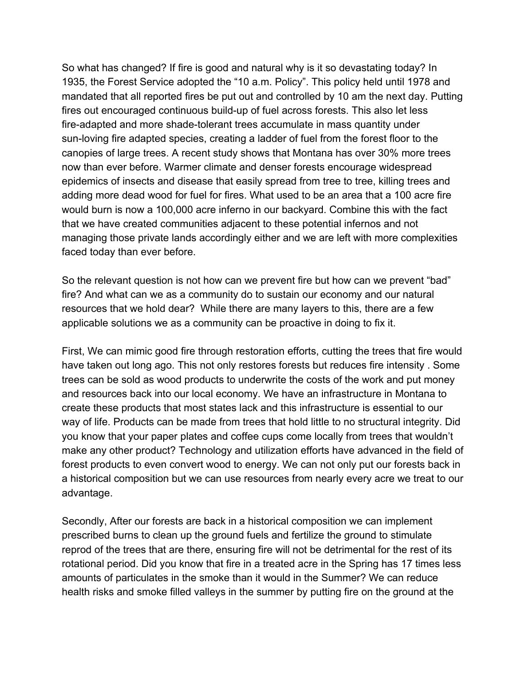So what has changed? If fire is good and natural why is it so devastating today? In 1935, the Forest Service adopted the "10 a.m. Policy". This policy held until 1978 and mandated that all reported fires be put out and controlled by 10 am the next day. Putting fires out encouraged continuous build-up of fuel across forests. This also let less fire-adapted and more shade-tolerant trees accumulate in mass quantity under sun-loving fire adapted species, creating a ladder of fuel from the forest floor to the canopies of large trees. A recent study shows that Montana has over 30% more trees now than ever before. Warmer climate and denser forests encourage widespread epidemics of insects and disease that easily spread from tree to tree, killing trees and adding more dead wood for fuel for fires. What used to be an area that a 100 acre fire would burn is now a 100,000 acre inferno in our backyard. Combine this with the fact that we have created communities adjacent to these potential infernos and not managing those private lands accordingly either and we are left with more complexities faced today than ever before.

So the relevant question is not how can we prevent fire but how can we prevent "bad" fire? And what can we as a community do to sustain our economy and our natural resources that we hold dear? While there are many layers to this, there are a few applicable solutions we as a community can be proactive in doing to fix it.

First, We can mimic good fire through restoration efforts, cutting the trees that fire would have taken out long ago. This not only restores forests but reduces fire intensity . Some trees can be sold as wood products to underwrite the costs of the work and put money and resources back into our local economy. We have an infrastructure in Montana to create these products that most states lack and this infrastructure is essential to our way of life. Products can be made from trees that hold little to no structural integrity. Did you know that your paper plates and coffee cups come locally from trees that wouldn't make any other product? Technology and utilization efforts have advanced in the field of forest products to even convert wood to energy. We can not only put our forests back in a historical composition but we can use resources from nearly every acre we treat to our advantage.

Secondly, After our forests are back in a historical composition we can implement prescribed burns to clean up the ground fuels and fertilize the ground to stimulate reprod of the trees that are there, ensuring fire will not be detrimental for the rest of its rotational period. Did you know that fire in a treated acre in the Spring has 17 times less amounts of particulates in the smoke than it would in the Summer? We can reduce health risks and smoke filled valleys in the summer by putting fire on the ground at the